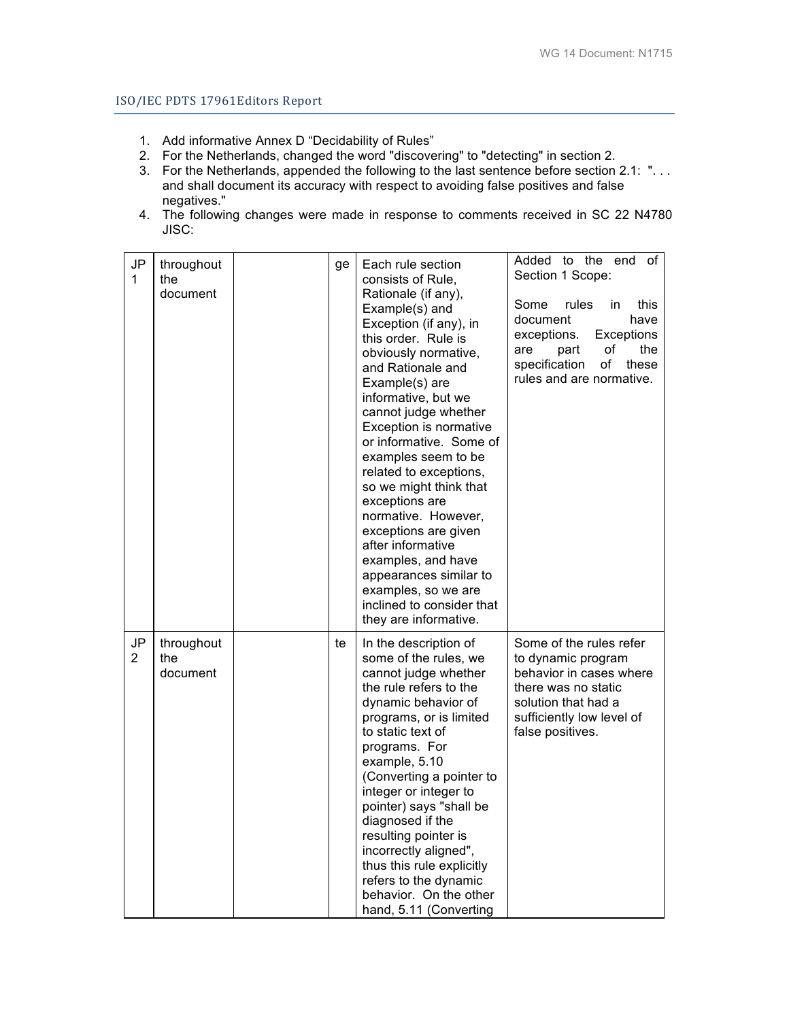## ISO/IEC PDTS 17961Editors Report

- 1. Add informative Annex D "Decidability of Rules"
- 2. For the Netherlands, changed the word "discovering" to "detecting" in section 2.
- 3. For the Netherlands, appended the following to the last sentence before section 2.1: ". . . and shall document its accuracy with respect to avoiding false positives and false negatives."
- 4. The following changes were made in response to comments received in SC 22 N4780 JISC:

| JP<br>1                         | throughout<br>the<br>document | ge | Each rule section<br>consists of Rule,<br>Rationale (if any),<br>Example(s) and<br>Exception (if any), in<br>this order. Rule is<br>obviously normative,<br>and Rationale and<br>Example(s) are<br>informative, but we<br>cannot judge whether<br>Exception is normative<br>or informative. Some of<br>examples seem to be<br>related to exceptions,<br>so we might think that<br>exceptions are<br>normative. However,<br>exceptions are given<br>after informative<br>examples, and have<br>appearances similar to<br>examples, so we are<br>inclined to consider that<br>they are informative. | Added to the end<br>of I<br>Section 1 Scope:<br>rules<br>Some<br>in.<br>this<br>document<br>have<br>exceptions.<br>Exceptions<br>the<br>part<br>οf<br>are<br>specification<br>of<br>these<br>rules and are normative. |
|---------------------------------|-------------------------------|----|---------------------------------------------------------------------------------------------------------------------------------------------------------------------------------------------------------------------------------------------------------------------------------------------------------------------------------------------------------------------------------------------------------------------------------------------------------------------------------------------------------------------------------------------------------------------------------------------------|-----------------------------------------------------------------------------------------------------------------------------------------------------------------------------------------------------------------------|
| $\mathsf{JP}$<br>$\overline{2}$ | throughout<br>the<br>document | te | In the description of<br>some of the rules, we<br>cannot judge whether<br>the rule refers to the<br>dynamic behavior of<br>programs, or is limited<br>to static text of<br>programs. For<br>example, 5.10<br>(Converting a pointer to<br>integer or integer to<br>pointer) says "shall be<br>diagnosed if the<br>resulting pointer is<br>incorrectly aligned",<br>thus this rule explicitly<br>refers to the dynamic<br>behavior. On the other<br>hand, 5.11 (Converting                                                                                                                          | Some of the rules refer<br>to dynamic program<br>behavior in cases where<br>there was no static<br>solution that had a<br>sufficiently low level of<br>false positives.                                               |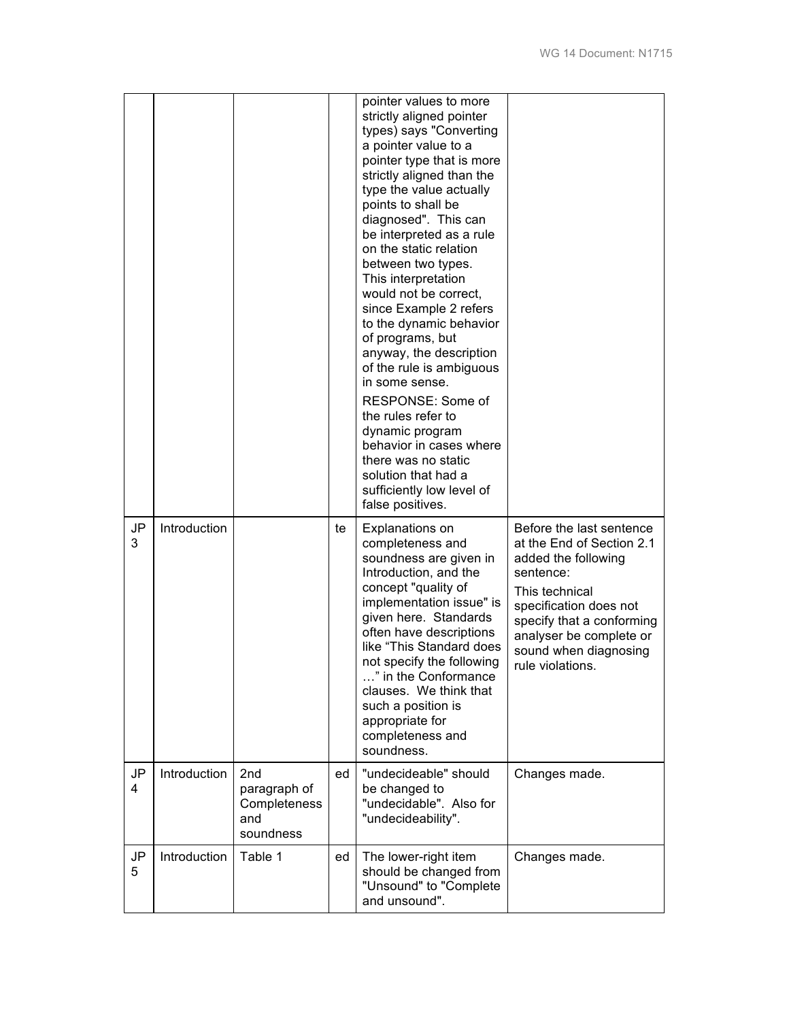|         |              |                                                                     |    | pointer values to more<br>strictly aligned pointer<br>types) says "Converting<br>a pointer value to a<br>pointer type that is more<br>strictly aligned than the<br>type the value actually<br>points to shall be<br>diagnosed". This can<br>be interpreted as a rule<br>on the static relation<br>between two types.<br>This interpretation<br>would not be correct,<br>since Example 2 refers<br>to the dynamic behavior<br>of programs, but<br>anyway, the description<br>of the rule is ambiguous<br>in some sense.<br>RESPONSE: Some of<br>the rules refer to<br>dynamic program<br>behavior in cases where<br>there was no static<br>solution that had a<br>sufficiently low level of<br>false positives. |                                                                                                                                                                                                                                            |
|---------|--------------|---------------------------------------------------------------------|----|----------------------------------------------------------------------------------------------------------------------------------------------------------------------------------------------------------------------------------------------------------------------------------------------------------------------------------------------------------------------------------------------------------------------------------------------------------------------------------------------------------------------------------------------------------------------------------------------------------------------------------------------------------------------------------------------------------------|--------------------------------------------------------------------------------------------------------------------------------------------------------------------------------------------------------------------------------------------|
| JP<br>3 | Introduction |                                                                     | te | Explanations on<br>completeness and<br>soundness are given in<br>Introduction, and the<br>concept "quality of<br>implementation issue" is<br>given here. Standards<br>often have descriptions<br>like "This Standard does<br>not specify the following<br>" in the Conformance<br>clauses. We think that<br>such a position is<br>appropriate for<br>completeness and<br>soundness.                                                                                                                                                                                                                                                                                                                            | Before the last sentence<br>at the End of Section 2.1<br>added the following<br>sentence:<br>This technical<br>specification does not<br>specify that a conforming<br>analyser be complete or<br>sound when diagnosing<br>rule violations. |
| JP<br>4 | Introduction | 2 <sub>nd</sub><br>paragraph of<br>Completeness<br>and<br>soundness | ed | "undecideable" should<br>be changed to<br>"undecidable". Also for<br>"undecideability".                                                                                                                                                                                                                                                                                                                                                                                                                                                                                                                                                                                                                        | Changes made.                                                                                                                                                                                                                              |
| JP<br>5 | Introduction | Table 1                                                             | ed | The lower-right item<br>should be changed from<br>"Unsound" to "Complete<br>and unsound".                                                                                                                                                                                                                                                                                                                                                                                                                                                                                                                                                                                                                      | Changes made.                                                                                                                                                                                                                              |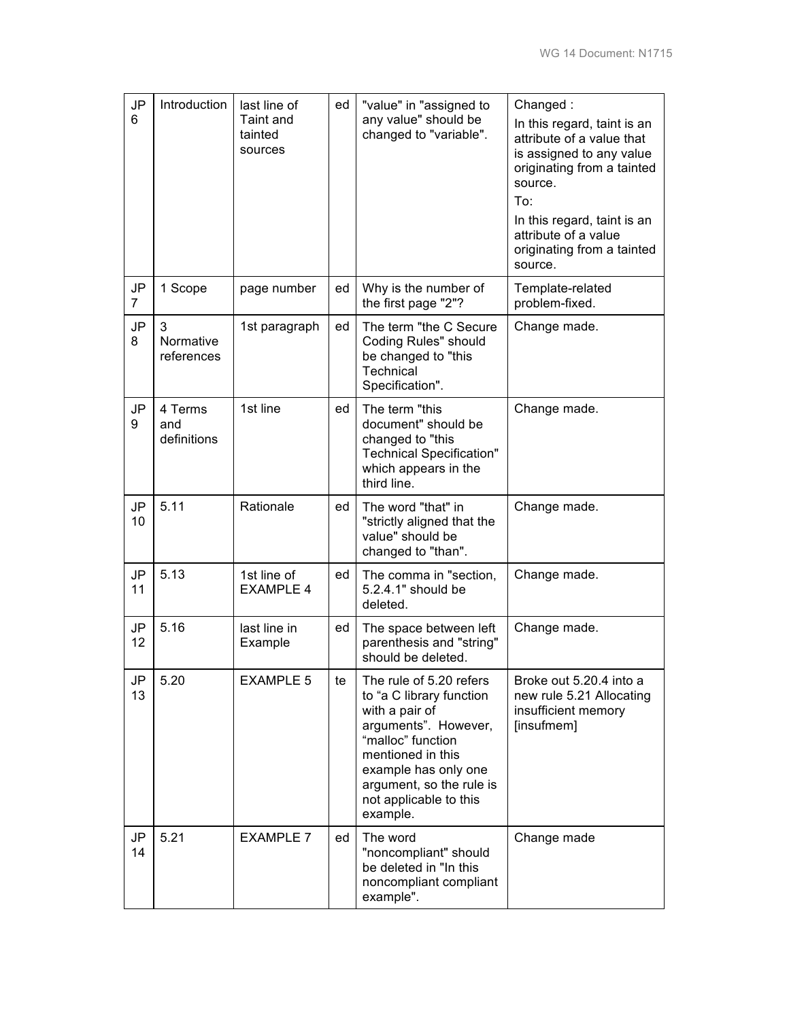| JP<br>6  | Introduction                  | last line of<br>Taint and<br>tainted<br>sources | ed | "value" in "assigned to<br>any value" should be<br>changed to "variable".                                                                                                                                                         | Changed:<br>In this regard, taint is an<br>attribute of a value that<br>is assigned to any value<br>originating from a tainted<br>source.<br>To:<br>In this regard, taint is an<br>attribute of a value<br>originating from a tainted<br>source. |
|----------|-------------------------------|-------------------------------------------------|----|-----------------------------------------------------------------------------------------------------------------------------------------------------------------------------------------------------------------------------------|--------------------------------------------------------------------------------------------------------------------------------------------------------------------------------------------------------------------------------------------------|
| JP<br>7  | 1 Scope                       | page number                                     | ed | Why is the number of<br>the first page "2"?                                                                                                                                                                                       | Template-related<br>problem-fixed.                                                                                                                                                                                                               |
| JP<br>8  | 3<br>Normative<br>references  | 1st paragraph                                   | ed | The term "the C Secure"<br>Coding Rules" should<br>be changed to "this<br>Technical<br>Specification".                                                                                                                            | Change made.                                                                                                                                                                                                                                     |
| JP<br>9  | 4 Terms<br>and<br>definitions | 1st line                                        | ed | The term "this<br>document" should be<br>changed to "this<br><b>Technical Specification"</b><br>which appears in the<br>third line.                                                                                               | Change made.                                                                                                                                                                                                                                     |
| JP<br>10 | 5.11                          | Rationale                                       | ed | The word "that" in<br>"strictly aligned that the<br>value" should be<br>changed to "than".                                                                                                                                        | Change made.                                                                                                                                                                                                                                     |
| JP<br>11 | 5.13                          | 1st line of<br><b>EXAMPLE 4</b>                 | ed | The comma in "section,<br>5.2.4.1" should be<br>deleted.                                                                                                                                                                          | Change made.                                                                                                                                                                                                                                     |
| JP<br>12 | 5.16                          | last line in<br>Example                         | ed | The space between left<br>parenthesis and "string"<br>should be deleted.                                                                                                                                                          | Change made.                                                                                                                                                                                                                                     |
| JP<br>13 | 5.20                          | <b>EXAMPLE 5</b>                                | te | The rule of 5.20 refers<br>to "a C library function<br>with a pair of<br>arguments". However,<br>"malloc" function<br>mentioned in this<br>example has only one<br>argument, so the rule is<br>not applicable to this<br>example. | Broke out 5.20.4 into a<br>new rule 5.21 Allocating<br>insufficient memory<br>[insufmem]                                                                                                                                                         |
| JP<br>14 | 5.21                          | <b>EXAMPLE 7</b>                                | ed | The word<br>"noncompliant" should<br>be deleted in "In this<br>noncompliant compliant<br>example".                                                                                                                                | Change made                                                                                                                                                                                                                                      |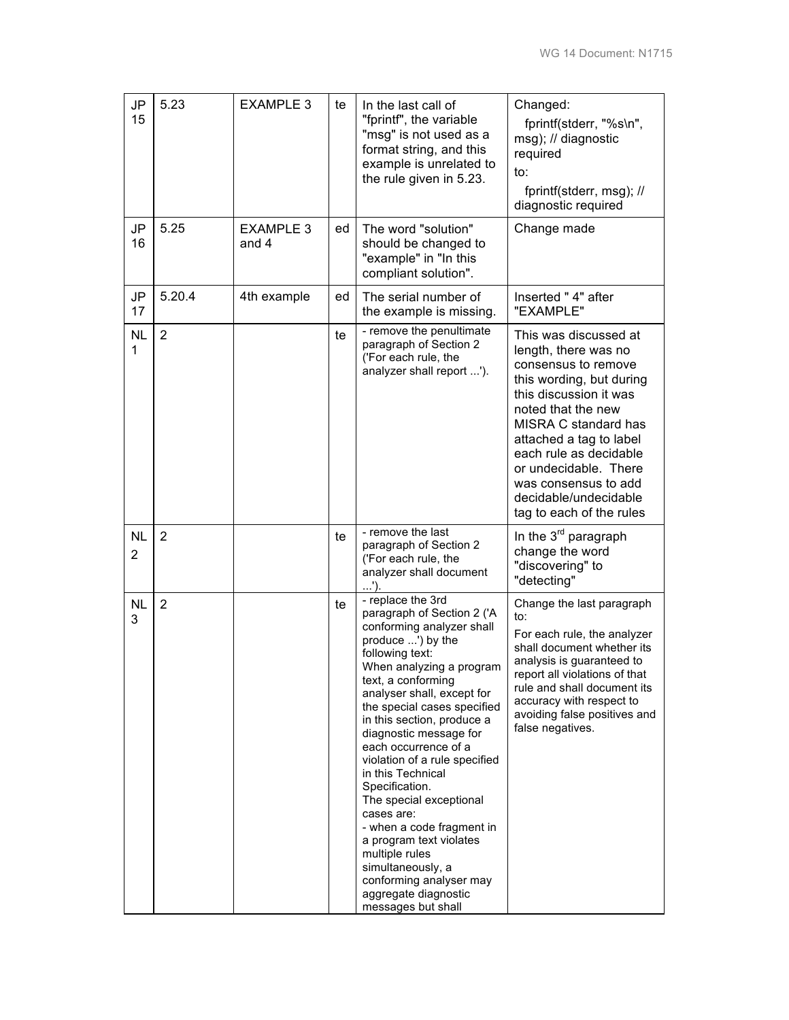| JP<br>15       | 5.23           | <b>EXAMPLE 3</b>          | te | In the last call of<br>"fprintf", the variable<br>"msg" is not used as a<br>format string, and this<br>example is unrelated to<br>the rule given in 5.23.                                                                                                                                                                                                                                                                                                                                                                                                                                                    | Changed:<br>fprintf(stderr, "%s\n",<br>msg); // diagnostic<br>required<br>to:<br>fprintf(stderr, msg); //<br>diagnostic required                                                                                                                                                                                                    |
|----------------|----------------|---------------------------|----|--------------------------------------------------------------------------------------------------------------------------------------------------------------------------------------------------------------------------------------------------------------------------------------------------------------------------------------------------------------------------------------------------------------------------------------------------------------------------------------------------------------------------------------------------------------------------------------------------------------|-------------------------------------------------------------------------------------------------------------------------------------------------------------------------------------------------------------------------------------------------------------------------------------------------------------------------------------|
| JP<br>16       | 5.25           | <b>EXAMPLE 3</b><br>and 4 | ed | The word "solution"<br>should be changed to<br>"example" in "In this<br>compliant solution".                                                                                                                                                                                                                                                                                                                                                                                                                                                                                                                 | Change made                                                                                                                                                                                                                                                                                                                         |
| JP<br>17       | 5.20.4         | 4th example               | ed | The serial number of<br>the example is missing.                                                                                                                                                                                                                                                                                                                                                                                                                                                                                                                                                              | Inserted " 4" after<br>"EXAMPLE"                                                                                                                                                                                                                                                                                                    |
| <b>NL</b><br>1 | $\overline{2}$ |                           | te | - remove the penultimate<br>paragraph of Section 2<br>('For each rule, the<br>analyzer shall report ').                                                                                                                                                                                                                                                                                                                                                                                                                                                                                                      | This was discussed at<br>length, there was no<br>consensus to remove<br>this wording, but during<br>this discussion it was<br>noted that the new<br>MISRA C standard has<br>attached a tag to label<br>each rule as decidable<br>or undecidable. There<br>was consensus to add<br>decidable/undecidable<br>tag to each of the rules |
| <b>NL</b><br>2 | 2              |                           | te | - remove the last<br>paragraph of Section 2<br>('For each rule, the<br>analyzer shall document<br>$\ldots$ ').                                                                                                                                                                                                                                                                                                                                                                                                                                                                                               | In the 3 <sup>rd</sup> paragraph<br>change the word<br>"discovering" to<br>"detecting"                                                                                                                                                                                                                                              |
| <b>NL</b><br>3 | $\overline{2}$ |                           | te | - replace the 3rd<br>paragraph of Section 2 ('A<br>conforming analyzer shall<br>produce ') by the<br>following text:<br>When analyzing a program<br>text, a conforming<br>analyser shall, except for<br>the special cases specified<br>in this section, produce a<br>diagnostic message for<br>each occurrence of a<br>violation of a rule specified<br>in this Technical<br>Specification.<br>The special exceptional<br>cases are:<br>- when a code fragment in<br>a program text violates<br>multiple rules<br>simultaneously, a<br>conforming analyser may<br>aggregate diagnostic<br>messages but shall | Change the last paragraph<br>to:<br>For each rule, the analyzer<br>shall document whether its<br>analysis is guaranteed to<br>report all violations of that<br>rule and shall document its<br>accuracy with respect to<br>avoiding false positives and<br>false negatives.                                                          |